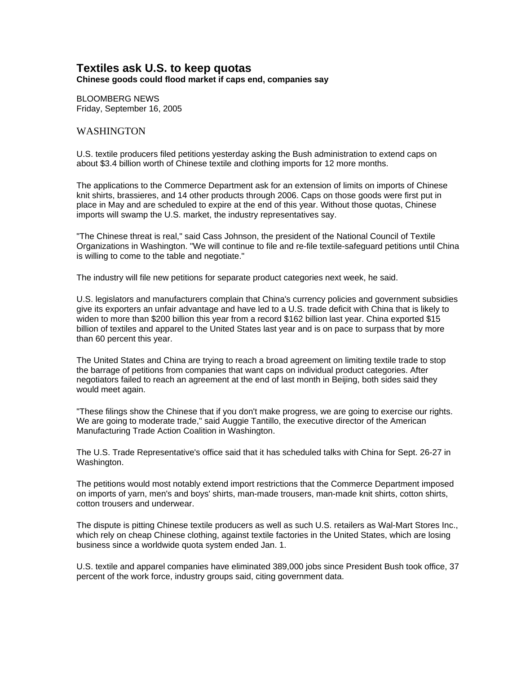## **Textiles ask U.S. to keep quotas Chinese goods could flood market if caps end, companies say**

BLOOMBERG NEWS Friday, September 16, 2005

## WASHINGTON

U.S. textile producers filed petitions yesterday asking the Bush administration to extend caps on about \$3.4 billion worth of Chinese textile and clothing imports for 12 more months.

The applications to the Commerce Department ask for an extension of limits on imports of Chinese knit shirts, brassieres, and 14 other products through 2006. Caps on those goods were first put in place in May and are scheduled to expire at the end of this year. Without those quotas, Chinese imports will swamp the U.S. market, the industry representatives say.

"The Chinese threat is real," said Cass Johnson, the president of the National Council of Textile Organizations in Washington. "We will continue to file and re-file textile-safeguard petitions until China is willing to come to the table and negotiate."

The industry will file new petitions for separate product categories next week, he said.

U.S. legislators and manufacturers complain that China's currency policies and government subsidies give its exporters an unfair advantage and have led to a U.S. trade deficit with China that is likely to widen to more than \$200 billion this year from a record \$162 billion last year. China exported \$15 billion of textiles and apparel to the United States last year and is on pace to surpass that by more than 60 percent this year.

The United States and China are trying to reach a broad agreement on limiting textile trade to stop the barrage of petitions from companies that want caps on individual product categories. After negotiators failed to reach an agreement at the end of last month in Beijing, both sides said they would meet again.

"These filings show the Chinese that if you don't make progress, we are going to exercise our rights. We are going to moderate trade," said Auggie Tantillo, the executive director of the American Manufacturing Trade Action Coalition in Washington.

The U.S. Trade Representative's office said that it has scheduled talks with China for Sept. 26-27 in Washington.

The petitions would most notably extend import restrictions that the Commerce Department imposed on imports of yarn, men's and boys' shirts, man-made trousers, man-made knit shirts, cotton shirts, cotton trousers and underwear.

The dispute is pitting Chinese textile producers as well as such U.S. retailers as Wal-Mart Stores Inc., which rely on cheap Chinese clothing, against textile factories in the United States, which are losing business since a worldwide quota system ended Jan. 1.

U.S. textile and apparel companies have eliminated 389,000 jobs since President Bush took office, 37 percent of the work force, industry groups said, citing government data.